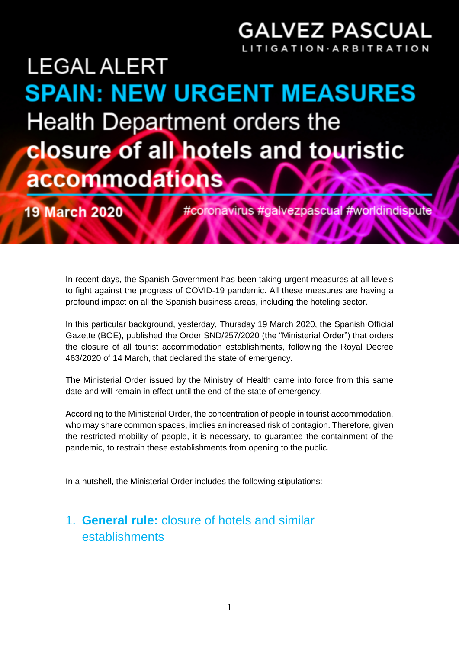### **GALVEZ PASCUAL** GATION·ARBITR.

# **LEGAL ALERT SPAIN: NEW URGENT MEASURES** Health Department orders the **closure of all hotels and touristic** accommodations

**19 March 2020** 

#coronavirus #galvezpascual #worldindispute

In recent days, the Spanish Government has been taking urgent measures at all levels to fight against the progress of COVID-19 pandemic. All these measures are having a profound impact on all the Spanish business areas, including the hoteling sector.

In this particular background, yesterday, Thursday 19 March 2020, the Spanish Official Gazette (BOE), published the Order SND/257/2020 (the "Ministerial Order") that orders the closure of all tourist accommodation establishments, following the Royal Decree 463/2020 of 14 March, that declared the state of emergency.

The Ministerial Order issued by the Ministry of Health came into force from this same date and will remain in effect until the end of the state of emergency.

According to the Ministerial Order, the concentration of people in tourist accommodation, who may share common spaces, implies an increased risk of contagion. Therefore, given the restricted mobility of people, it is necessary, to guarantee the containment of the pandemic, to restrain these establishments from opening to the public.

In a nutshell, the Ministerial Order includes the following stipulations:

#### 1. **General rule:** closure of hotels and similar establishments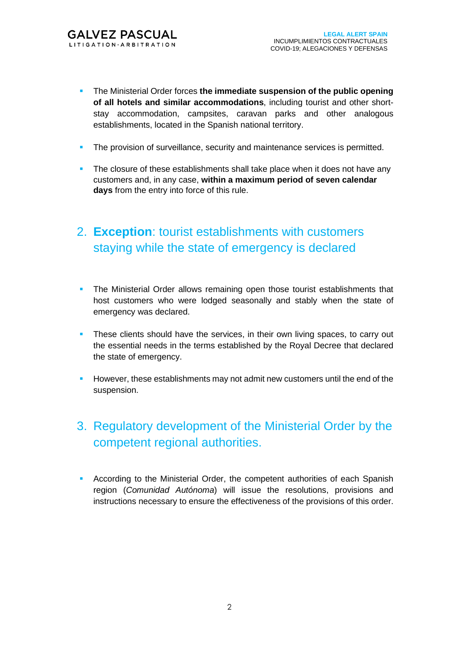- The Ministerial Order forces **the immediate suspension of the public opening of all hotels and similar accommodations**, including tourist and other shortstay accommodation, campsites, caravan parks and other analogous establishments, located in the Spanish national territory.
- **The provision of surveillance, security and maintenance services is permitted.**
- **•** The closure of these establishments shall take place when it does not have any customers and, in any case, **within a maximum period of seven calendar days** from the entry into force of this rule.

#### 2. **Exception**: tourist establishments with customers staying while the state of emergency is declared

- The Ministerial Order allows remaining open those tourist establishments that host customers who were lodged seasonally and stably when the state of emergency was declared.
- **•** These clients should have the services, in their own living spaces, to carry out the essential needs in the terms established by the Royal Decree that declared the state of emergency.
- However, these establishments may not admit new customers until the end of the suspension.

#### 3. Regulatory development of the Ministerial Order by the competent regional authorities.

**• According to the Ministerial Order, the competent authorities of each Spanish** region (*Comunidad Autónoma*) will issue the resolutions, provisions and instructions necessary to ensure the effectiveness of the provisions of this order.